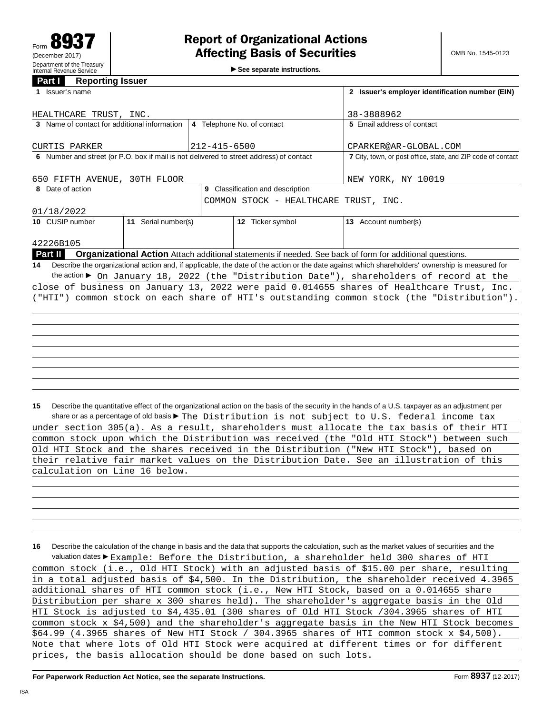►<br>► See separate instructions.

## **Part I Reporting Issuer**

| 1 Issuer's name                                                                                                                                       |                                  |                            |                                       | 2 Issuer's employer identification number (EIN)                                                                 |  |  |
|-------------------------------------------------------------------------------------------------------------------------------------------------------|----------------------------------|----------------------------|---------------------------------------|-----------------------------------------------------------------------------------------------------------------|--|--|
|                                                                                                                                                       |                                  |                            |                                       |                                                                                                                 |  |  |
| HEALTHCARE TRUST, INC.                                                                                                                                |                                  | 38-3888962                 |                                       |                                                                                                                 |  |  |
| 3 Name of contact for additional information                                                                                                          |                                  | 4 Telephone No. of contact |                                       | 5 Email address of contact                                                                                      |  |  |
|                                                                                                                                                       |                                  |                            |                                       |                                                                                                                 |  |  |
| CURTIS PARKER                                                                                                                                         |                                  | $212 - 415 - 6500$         |                                       | CPARKER@AR-GLOBAL.COM                                                                                           |  |  |
| 6 Number and street (or P.O. box if mail is not delivered to street address) of contact                                                               |                                  |                            |                                       | 7 City, town, or post office, state, and ZIP code of contact                                                    |  |  |
| 650 FIFTH AVENUE, 30TH FLOOR                                                                                                                          |                                  |                            | NEW YORK, NY 10019                    |                                                                                                                 |  |  |
| 8 Date of action                                                                                                                                      | 9 Classification and description |                            |                                       |                                                                                                                 |  |  |
|                                                                                                                                                       |                                  |                            | COMMON STOCK - HEALTHCARE TRUST, INC. |                                                                                                                 |  |  |
| 01/18/2022                                                                                                                                            |                                  |                            |                                       |                                                                                                                 |  |  |
| 10 CUSIP number                                                                                                                                       | 11 Serial number(s)              |                            |                                       |                                                                                                                 |  |  |
|                                                                                                                                                       |                                  |                            | 12 Ticker symbol                      | 13 Account number(s)                                                                                            |  |  |
|                                                                                                                                                       |                                  |                            |                                       |                                                                                                                 |  |  |
| 42226B105                                                                                                                                             |                                  |                            |                                       |                                                                                                                 |  |  |
| Part II                                                                                                                                               |                                  |                            |                                       | <b>Organizational Action</b> Attach additional statements if needed. See back of form for additional questions. |  |  |
| Describe the organizational action and, if applicable, the date of the action or the date against which shareholders' ownership is measured for<br>14 |                                  |                            |                                       |                                                                                                                 |  |  |
|                                                                                                                                                       |                                  |                            |                                       | the action ▶ On January 18, 2022 (the "Distribution Date"), shareholders of record at the                       |  |  |
|                                                                                                                                                       |                                  |                            |                                       | close of business on January 13, 2022 were paid 0.014655 shares of Healthcare Trust, Inc.                       |  |  |
| common stock on each share of HTI's outstanding common stock (the "Distribution").<br>"HTI")                                                          |                                  |                            |                                       |                                                                                                                 |  |  |
|                                                                                                                                                       |                                  |                            |                                       |                                                                                                                 |  |  |
|                                                                                                                                                       |                                  |                            |                                       |                                                                                                                 |  |  |
|                                                                                                                                                       |                                  |                            |                                       |                                                                                                                 |  |  |
|                                                                                                                                                       |                                  |                            |                                       |                                                                                                                 |  |  |
|                                                                                                                                                       |                                  |                            |                                       |                                                                                                                 |  |  |
|                                                                                                                                                       |                                  |                            |                                       |                                                                                                                 |  |  |
|                                                                                                                                                       |                                  |                            |                                       |                                                                                                                 |  |  |
|                                                                                                                                                       |                                  |                            |                                       |                                                                                                                 |  |  |
|                                                                                                                                                       |                                  |                            |                                       |                                                                                                                 |  |  |

**15** Describe the quantitative effect of the organizational action on the basis of the security in the hands of a U.S. taxpayer as an adjustment per share or as a percentage of old basis  $\blacktriangleright$  The Distribution is not subject to U.S. federal income tax under section 305(a). As a result, shareholders must allocate the tax basis of their HTI common stock upon which the Distribution was received (the "Old HTI Stock") between such Old HTI Stock and the shares received in the Distribution ("New HTI Stock"), based on their relative fair market values on the Distribution Date. See an illustration of this calculation on Line 16 below.

**16** Describe the calculation of the change in basis and the data that supports the calculation, such as the market values of securities and the valuation dates Example: Before the Distribution, a shareholder held 300 shares of HTI common stock (i.e., Old HTI Stock) with an adjusted basis of \$15.00 per share, resulting in a total adjusted basis of \$4,500. In the Distribution, the shareholder received 4.3965 additional shares of HTI common stock (i.e., New HTI Stock, based on a 0.014655 share Distribution per share x 300 shares held). The shareholder's aggregate basis in the Old HTI Stock is adjusted to \$4,435.01 (300 shares of Old HTI Stock /304.3965 shares of HTI common stock x \$4,500) and the shareholder's aggregate basis in the New HTI Stock becomes \$64.99 (4.3965 shares of New HTI Stock / 304.3965 shares of HTI common stock x \$4,500). Note that where lots of Old HTI Stock were acquired at different times or for different prices, the basis allocation should be done based on such lots.